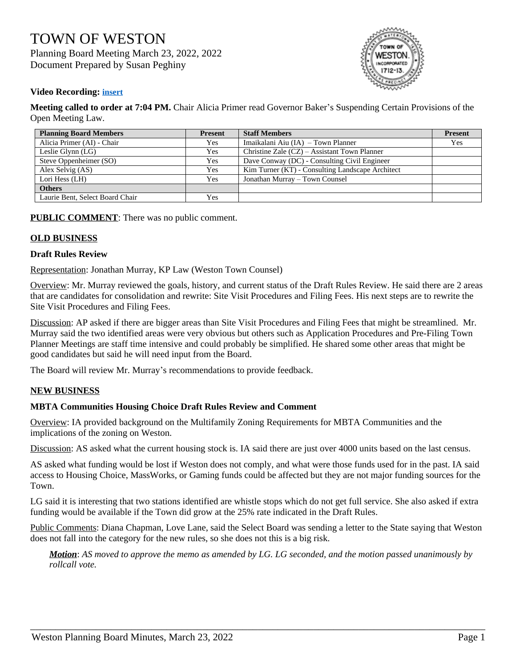# TOWN OF WESTON Planning Board Meeting March 23, 2022, 2022 Document Prepared by Susan Peghiny



### **Video Recording: [insert](https://cloud.castus.tv/vod/weston/video/6241fb49e01fe6000859150b?page=HOME)**

**Meeting called to order at 7:04 PM.** Chair Alicia Primer read Governor Baker's Suspending Certain Provisions of the Open Meeting Law.

| <b>Planning Board Members</b>   | <b>Present</b> | <b>Staff Members</b>                             | <b>Present</b> |
|---------------------------------|----------------|--------------------------------------------------|----------------|
| Alicia Primer (AI) - Chair      | Yes            | Imaikalani Aiu (IA) – Town Planner               | Yes            |
| Leslie Glynn $(LG)$             | Yes            | Christine Zale (CZ) – Assistant Town Planner     |                |
| Steve Oppenheimer (SO)          | Yes            | Dave Conway (DC) - Consulting Civil Engineer     |                |
| Alex Selvig (AS)                | Yes            | Kim Turner (KT) - Consulting Landscape Architect |                |
| Lori Hess (LH)                  | Yes            | Jonathan Murray - Town Counsel                   |                |
| <b>Others</b>                   |                |                                                  |                |
| Laurie Bent, Select Board Chair | Yes            |                                                  |                |

**PUBLIC COMMENT:** There was no public comment.

## **OLD BUSINESS**

#### **Draft Rules Review**

Representation: Jonathan Murray, KP Law (Weston Town Counsel)

Overview: Mr. Murray reviewed the goals, history, and current status of the Draft Rules Review. He said there are 2 areas that are candidates for consolidation and rewrite: Site Visit Procedures and Filing Fees. His next steps are to rewrite the Site Visit Procedures and Filing Fees.

Discussion: AP asked if there are bigger areas than Site Visit Procedures and Filing Fees that might be streamlined. Mr. Murray said the two identified areas were very obvious but others such as Application Procedures and Pre-Filing Town Planner Meetings are staff time intensive and could probably be simplified. He shared some other areas that might be good candidates but said he will need input from the Board.

The Board will review Mr. Murray's recommendations to provide feedback.

### **NEW BUSINESS**

### **MBTA Communities Housing Choice Draft Rules Review and Comment**

Overview: IA provided background on the Multifamily Zoning Requirements for MBTA Communities and the implications of the zoning on Weston.

Discussion: AS asked what the current housing stock is. IA said there are just over 4000 units based on the last census.

AS asked what funding would be lost if Weston does not comply, and what were those funds used for in the past. IA said access to Housing Choice, MassWorks, or Gaming funds could be affected but they are not major funding sources for the Town.

LG said it is interesting that two stations identified are whistle stops which do not get full service. She also asked if extra funding would be available if the Town did grow at the 25% rate indicated in the Draft Rules.

Public Comments: Diana Chapman, Love Lane, said the Select Board was sending a letter to the State saying that Weston does not fall into the category for the new rules, so she does not this is a big risk.

*Motion*: *AS moved to approve the memo as amended by LG. LG seconded, and the motion passed unanimously by rollcall vote.*

\_\_\_\_\_\_\_\_\_\_\_\_\_\_\_\_\_\_\_\_\_\_\_\_\_\_\_\_\_\_\_\_\_\_\_\_\_\_\_\_\_\_\_\_\_\_\_\_\_\_\_\_\_\_\_\_\_\_\_\_\_\_\_\_\_\_\_\_\_\_\_\_\_\_\_\_\_\_\_\_\_\_\_\_\_\_\_\_\_\_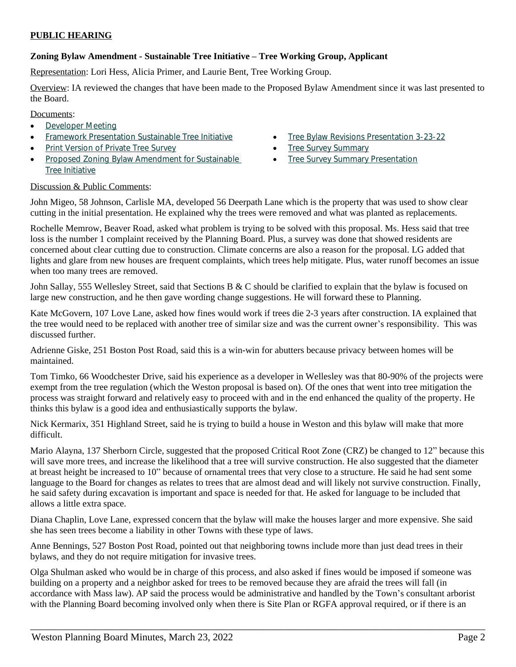## **PUBLIC HEARING**

## **Zoning Bylaw Amendment - Sustainable Tree Initiative – Tree Working Group, Applicant**

Representation: Lori Hess, Alicia Primer, and Laurie Bent, Tree Working Group.

Overview: IA reviewed the changes that have been made to the Proposed Bylaw Amendment since it was last presented to the Board.

Documents:

- [Developer Meeting](https://www.westonma.gov/DocumentCenter/View/32320/DeveloperMeeting)
- [Framework Presentation Sustainable Tree Initiative](https://www.westonma.gov/DocumentCenter/View/32223/Framework-Presentation-Sustainable-Tree-Initiative)
- [Print Version of Private Tree Survey](https://www.westonma.gov/DocumentCenter/View/31816/Print-Version-of-Private-Tree-Survey)
- [Proposed Zoning Bylaw Amendment for Sustainable](https://www.westonma.gov/DocumentCenter/View/32424/Proposed-Zoning-Bylaw-Amendment-for-Sustainable-Tree-Initiative)  Tree Initiative
- **•** [Tree Bylaw Revisions Presentation 3-23-22](https://www.westonma.gov/DocumentCenter/View/32525/Tree-Bylaw-Revisions-Presentation-3-23-22)
- [Tree Survey Summary](https://www.westonma.gov/DocumentCenter/View/31832/Tree-Survey-Summary)
- [Tree Survey Summary Presentation](https://www.westonma.gov/DocumentCenter/View/31833/Tree-Survey-Summary-Presentation)

### Discussion & Public Comments:

John Migeo, 58 Johnson, Carlisle MA, developed 56 Deerpath Lane which is the property that was used to show clear cutting in the initial presentation. He explained why the trees were removed and what was planted as replacements.

Rochelle Memrow, Beaver Road, asked what problem is trying to be solved with this proposal. Ms. Hess said that tree loss is the number 1 complaint received by the Planning Board. Plus, a survey was done that showed residents are concerned about clear cutting due to construction. Climate concerns are also a reason for the proposal. LG added that lights and glare from new houses are frequent complaints, which trees help mitigate. Plus, water runoff becomes an issue when too many trees are removed.

John Sallay, 555 Wellesley Street, said that Sections B & C should be clarified to explain that the bylaw is focused on large new construction, and he then gave wording change suggestions. He will forward these to Planning.

Kate McGovern, 107 Love Lane, asked how fines would work if trees die 2-3 years after construction. IA explained that the tree would need to be replaced with another tree of similar size and was the current owner's responsibility. This was discussed further.

Adrienne Giske, 251 Boston Post Road, said this is a win-win for abutters because privacy between homes will be maintained.

Tom Timko, 66 Woodchester Drive, said his experience as a developer in Wellesley was that 80-90% of the projects were exempt from the tree regulation (which the Weston proposal is based on). Of the ones that went into tree mitigation the process was straight forward and relatively easy to proceed with and in the end enhanced the quality of the property. He thinks this bylaw is a good idea and enthusiastically supports the bylaw.

Nick Kermarix, 351 Highland Street, said he is trying to build a house in Weston and this bylaw will make that more difficult.

Mario Alayna, 137 Sherborn Circle, suggested that the proposed Critical Root Zone (CRZ) be changed to 12" because this will save more trees, and increase the likelihood that a tree will survive construction. He also suggested that the diameter at breast height be increased to 10" because of ornamental trees that very close to a structure. He said he had sent some language to the Board for changes as relates to trees that are almost dead and will likely not survive construction. Finally, he said safety during excavation is important and space is needed for that. He asked for language to be included that allows a little extra space.

Diana Chaplin, Love Lane, expressed concern that the bylaw will make the houses larger and more expensive. She said she has seen trees become a liability in other Towns with these type of laws.

Anne Bennings, 527 Boston Post Road, pointed out that neighboring towns include more than just dead trees in their bylaws, and they do not require mitigation for invasive trees.

Olga Shulman asked who would be in charge of this process, and also asked if fines would be imposed if someone was building on a property and a neighbor asked for trees to be removed because they are afraid the trees will fall (in accordance with Mass law). AP said the process would be administrative and handled by the Town's consultant arborist with the Planning Board becoming involved only when there is Site Plan or RGFA approval required, or if there is an

\_\_\_\_\_\_\_\_\_\_\_\_\_\_\_\_\_\_\_\_\_\_\_\_\_\_\_\_\_\_\_\_\_\_\_\_\_\_\_\_\_\_\_\_\_\_\_\_\_\_\_\_\_\_\_\_\_\_\_\_\_\_\_\_\_\_\_\_\_\_\_\_\_\_\_\_\_\_\_\_\_\_\_\_\_\_\_\_\_\_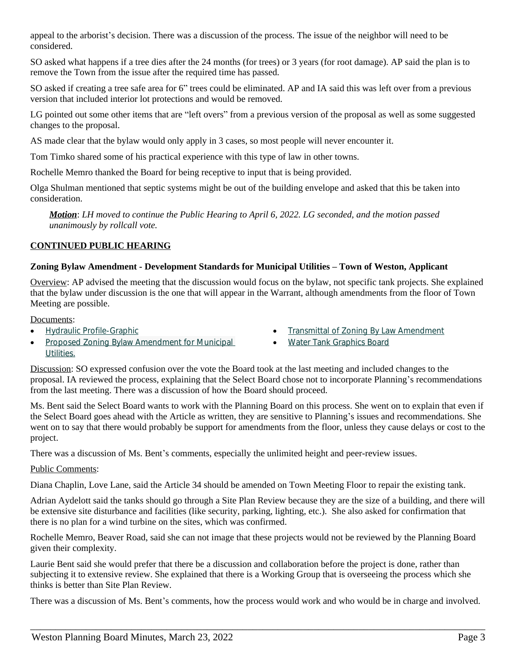appeal to the arborist's decision. There was a discussion of the process. The issue of the neighbor will need to be considered.

SO asked what happens if a tree dies after the 24 months (for trees) or 3 years (for root damage). AP said the plan is to remove the Town from the issue after the required time has passed.

SO asked if creating a tree safe area for 6" trees could be eliminated. AP and IA said this was left over from a previous version that included interior lot protections and would be removed.

LG pointed out some other items that are "left overs" from a previous version of the proposal as well as some suggested changes to the proposal.

AS made clear that the bylaw would only apply in 3 cases, so most people will never encounter it.

Tom Timko shared some of his practical experience with this type of law in other towns.

Rochelle Memro thanked the Board for being receptive to input that is being provided.

Olga Shulman mentioned that septic systems might be out of the building envelope and asked that this be taken into consideration.

*Motion*: *LH moved to continue the Public Hearing to April 6, 2022. LG seconded, and the motion passed unanimously by rollcall vote.*

## **CONTINUED PUBLIC HEARING**

### **Zoning Bylaw Amendment - Development Standards for Municipal Utilities – Town of Weston, Applicant**

Overview: AP advised the meeting that the discussion would focus on the bylaw, not specific tank projects. She explained that the bylaw under discussion is the one that will appear in the Warrant, although amendments from the floor of Town Meeting are possible.

#### Documents:

[Hydraulic Profile-Graphic](https://www.westonma.gov/DocumentCenter/View/32008/Hydraulic-Profile-Graphic)

- [Transmittal of Zoning By Law Amendment](https://www.westonma.gov/DocumentCenter/View/32009/Transmittal-of-Zoning-By-Law-Amendment) [Water Tank Graphics Board](https://www.westonma.gov/DocumentCenter/View/32010/Water-Tank-Graphics-Board)
- [Proposed Zoning Bylaw Amendment for Municipal](https://www.westonma.gov/DocumentCenter/View/31960/Proposed-Zoning-Bylaw-Amendment-for-Municipal-Utilities-)  Utilities.
- Discussion: SO expressed confusion over the vote the Board took at the last meeting and included changes to the proposal. IA reviewed the process, explaining that the Select Board chose not to incorporate Planning's recommendations from the last meeting. There was a discussion of how the Board should proceed.

Ms. Bent said the Select Board wants to work with the Planning Board on this process. She went on to explain that even if the Select Board goes ahead with the Article as written, they are sensitive to Planning's issues and recommendations. She went on to say that there would probably be support for amendments from the floor, unless they cause delays or cost to the project.

There was a discussion of Ms. Bent's comments, especially the unlimited height and peer-review issues.

### Public Comments:

Diana Chaplin, Love Lane, said the Article 34 should be amended on Town Meeting Floor to repair the existing tank.

Adrian Aydelott said the tanks should go through a Site Plan Review because they are the size of a building, and there will be extensive site disturbance and facilities (like security, parking, lighting, etc.). She also asked for confirmation that there is no plan for a wind turbine on the sites, which was confirmed.

Rochelle Memro, Beaver Road, said she can not image that these projects would not be reviewed by the Planning Board given their complexity.

Laurie Bent said she would prefer that there be a discussion and collaboration before the project is done, rather than subjecting it to extensive review. She explained that there is a Working Group that is overseeing the process which she thinks is better than Site Plan Review.

There was a discussion of Ms. Bent's comments, how the process would work and who would be in charge and involved.

\_\_\_\_\_\_\_\_\_\_\_\_\_\_\_\_\_\_\_\_\_\_\_\_\_\_\_\_\_\_\_\_\_\_\_\_\_\_\_\_\_\_\_\_\_\_\_\_\_\_\_\_\_\_\_\_\_\_\_\_\_\_\_\_\_\_\_\_\_\_\_\_\_\_\_\_\_\_\_\_\_\_\_\_\_\_\_\_\_\_